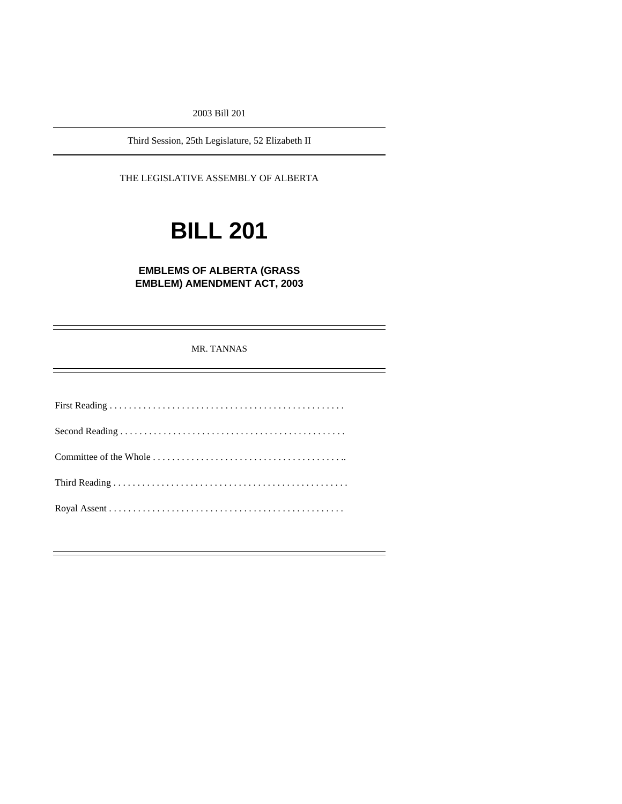2003 Bill 201

Third Session, 25th Legislature, 52 Elizabeth II

THE LEGISLATIVE ASSEMBLY OF ALBERTA

# **BILL 201**

### **EMBLEMS OF ALBERTA (GRASS EMBLEM) AMENDMENT ACT, 2003**

MR. TANNAS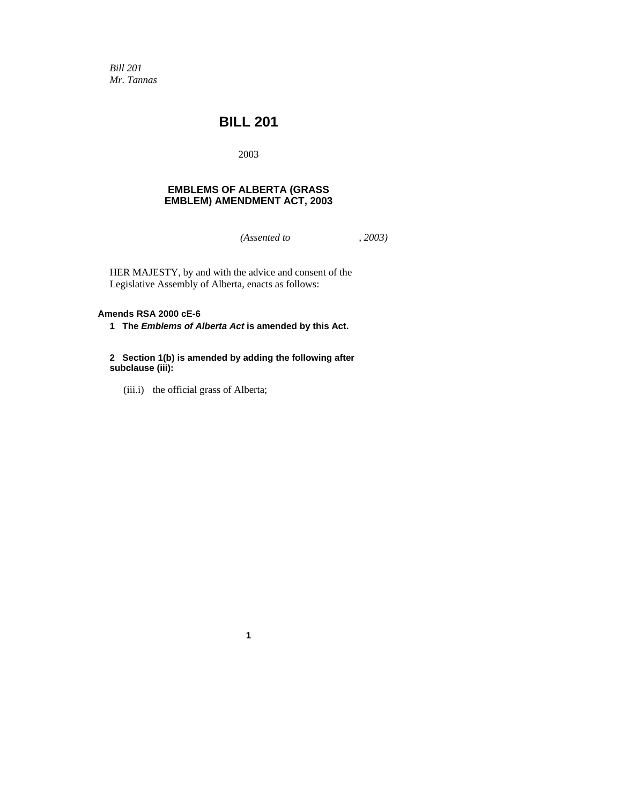*Bill 201 Mr. Tannas* 

## **BILL 201**

2003

#### **EMBLEMS OF ALBERTA (GRASS EMBLEM) AMENDMENT ACT, 2003**

*(Assented to , 2003)* 

HER MAJESTY, by and with the advice and consent of the Legislative Assembly of Alberta, enacts as follows:

#### **Amends RSA 2000 cE-6**

**1 The** *Emblems of Alberta Act* **is amended by this Act.** 

**2 Section 1(b) is amended by adding the following after subclause (iii):** 

**1**

(iii.i) the official grass of Alberta;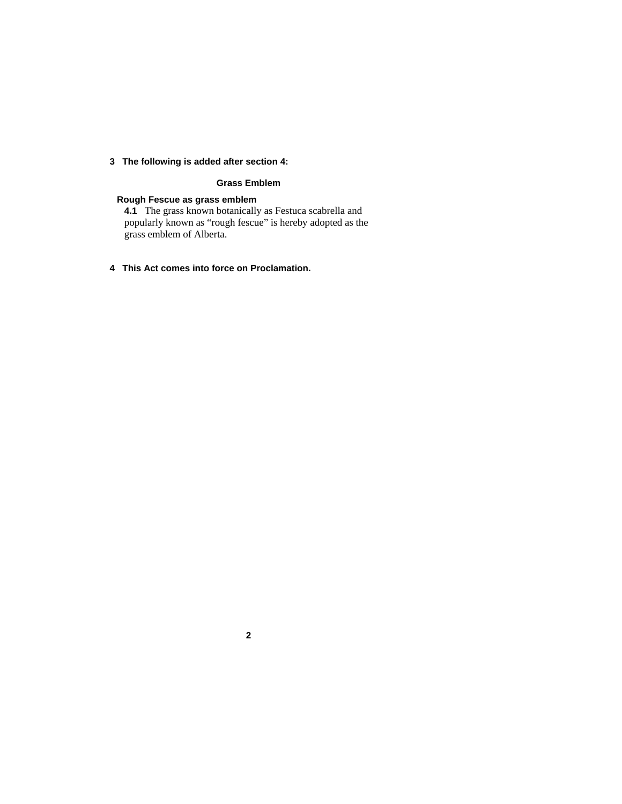#### **3 The following is added after section 4:**

#### **Grass Emblem**

#### **Rough Fescue as grass emblem**

**4.1** The grass known botanically as Festuca scabrella and popularly known as "rough fescue" is hereby adopted as the grass emblem of Alberta.

**4 This Act comes into force on Proclamation.** 

**2**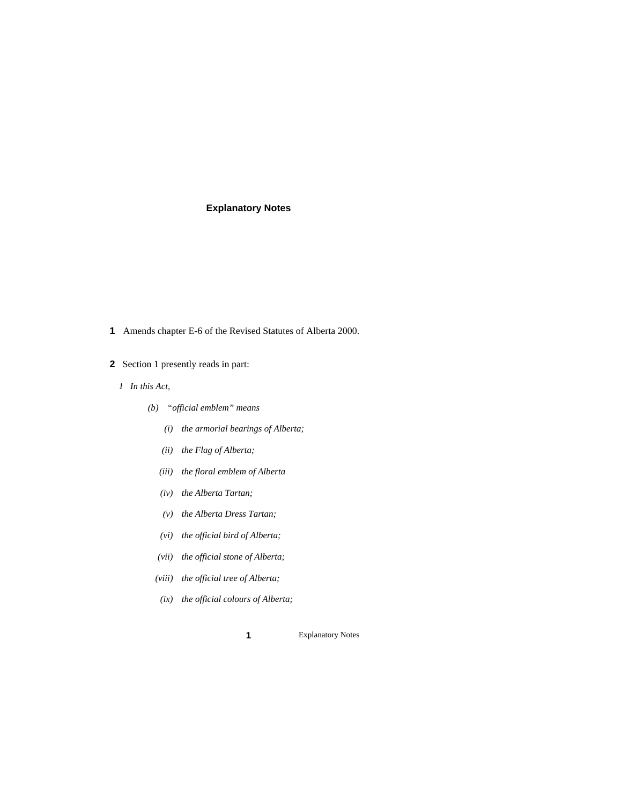#### **Explanatory Notes**

- **1** Amends chapter E-6 of the Revised Statutes of Alberta 2000.
- **2** Section 1 presently reads in part:
	- *1 In this Act,* 
		- *(b) "official emblem" means* 
			- *(i) the armorial bearings of Alberta;*
			- *(ii) the Flag of Alberta;*
			- *(iii) the floral emblem of Alberta*
			- *(iv) the Alberta Tartan;*
			- *(v) the Alberta Dress Tartan;*
			- *(vi) the official bird of Alberta;*
			- *(vii) the official stone of Alberta;*
			- *(viii) the official tree of Alberta;*
			- *(ix) the official colours of Alberta;*

1 Explanatory Notes